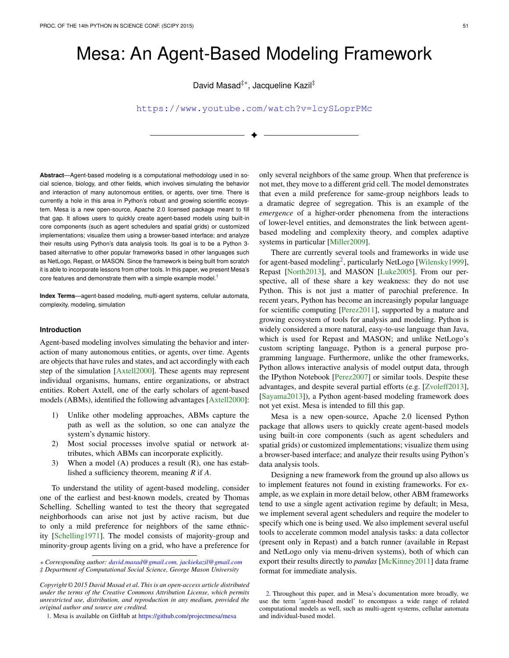# Mesa: An Agent-Based Modeling Framework

David Masad<sup>‡∗</sup>, Jacqueline Kazil<sup>‡</sup>

<https://www.youtube.com/watch?v=lcySLoprPMc>

✦

**Abstract**—Agent-based modeling is a computational methodology used in social science, biology, and other fields, which involves simulating the behavior and interaction of many autonomous entities, or agents, over time. There is currently a hole in this area in Python's robust and growing scientific ecosystem. Mesa is a new open-source, Apache 2.0 licensed package meant to fill that gap. It allows users to quickly create agent-based models using built-in core components (such as agent schedulers and spatial grids) or customized implementations; visualize them using a browser-based interface; and analyze their results using Python's data analysis tools. Its goal is to be a Python 3 based alternative to other popular frameworks based in other languages such as NetLogo, Repast, or MASON. Since the framework is being built from scratch it is able to incorporate lessons from other tools. In this paper, we present Mesa's core features and demonstrate them with a simple example model.<sup>[1](#page-0-0)</sup>

**Index Terms**—agent-based modeling, multi-agent systems, cellular automata, complexity, modeling, simulation

# **Introduction**

Agent-based modeling involves simulating the behavior and interaction of many autonomous entities, or agents, over time. Agents are objects that have rules and states, and act accordingly with each step of the simulation [\[Axtell2000\]](#page-7-0). These agents may represent individual organisms, humans, entire organizations, or abstract entities. Robert Axtell, one of the early scholars of agent-based models (ABMs), identified the following advantages [\[Axtell2000\]](#page-7-0):

- 1) Unlike other modeling approaches, ABMs capture the path as well as the solution, so one can analyze the system's dynamic history.
- 2) Most social processes involve spatial or network attributes, which ABMs can incorporate explicitly.
- 3) When a model (A) produces a result (R), one has established a sufficiency theorem, meaning *R* if *A*.

To understand the utility of agent-based modeling, consider one of the earliest and best-known models, created by Thomas Schelling. Schelling wanted to test the theory that segregated neighborhoods can arise not just by active racism, but due to only a mild preference for neighbors of the same ethnicity [\[Schelling1971\]](#page-7-1). The model consists of majority-group and minority-group agents living on a grid, who have a preference for

only several neighbors of the same group. When that preference is not met, they move to a different grid cell. The model demonstrates that even a mild preference for same-group neighbors leads to a dramatic degree of segregation. This is an example of the *emergence* of a higher-order phenomena from the interactions of lower-level entities, and demonstrates the link between agentbased modeling and complexity theory, and complex adaptive systems in particular [\[Miller2009\]](#page-7-2).

<span id="page-0-3"></span><span id="page-0-1"></span>There are currently several tools and frameworks in wide use for agent-based modeling<sup>[2](#page-0-2)</sup>, particularly NetLogo [\[Wilensky1999\]](#page-7-3), Repast [\[North2013\]](#page-7-4), and MASON [\[Luke2005\]](#page-7-5). From our perspective, all of these share a key weakness: they do not use Python. This is not just a matter of parochial preference. In recent years, Python has become an increasingly popular language for scientific computing [\[Perez2011\]](#page-7-6), supported by a mature and growing ecosystem of tools for analysis and modeling. Python is widely considered a more natural, easy-to-use language than Java, which is used for Repast and MASON; and unlike NetLogo's custom scripting language, Python is a general purpose programming language. Furthermore, unlike the other frameworks, Python allows interactive analysis of model output data, through the IPython Notebook [\[Perez2007\]](#page-7-7) or similar tools. Despite these advantages, and despite several partial efforts (e.g. [\[Zvoleff2013\]](#page-7-8), [\[Sayama2013\]](#page-7-9)), a Python agent-based modeling framework does not yet exist. Mesa is intended to fill this gap.

Mesa is a new open-source, Apache 2.0 licensed Python package that allows users to quickly create agent-based models using built-in core components (such as agent schedulers and spatial grids) or customized implementations; visualize them using a browser-based interface; and analyze their results using Python's data analysis tools.

Designing a new framework from the ground up also allows us to implement features not found in existing frameworks. For example, as we explain in more detail below, other ABM frameworks tend to use a single agent activation regime by default; in Mesa, we implement several agent schedulers and require the modeler to specify which one is being used. We also implement several useful tools to accelerate common model analysis tasks: a data collector (present only in Repast) and a batch runner (available in Repast and NetLogo only via menu-driven systems), both of which can export their results directly to *pandas* [\[McKinney2011\]](#page-7-10) data frame format for immediate analysis.

*<sup>\*</sup> Corresponding author: [david.masad@gmail.com, jackiekazil@gmail.com](mailto:david.masad@gmail.com, jackiekazil@gmail.com) ‡ Department of Computational Social Science, George Mason University*

*Copyright © 2015 David Masad et al. This is an open-access article distributed under the terms of the Creative Commons Attribution License, which permits unrestricted use, distribution, and reproduction in any medium, provided the original author and source are credited.*

<span id="page-0-0"></span>[<sup>1.</sup>](#page-0-1) Mesa is available on GitHub at <https://github.com/projectmesa/mesa>

<span id="page-0-2"></span>[<sup>2.</sup>](#page-0-3) Throughout this paper, and in Mesa's documentation more broadly, we use the term 'agent-based model' to encompass a wide range of related computational models as well, such as multi-agent systems, cellular automata and individual-based model.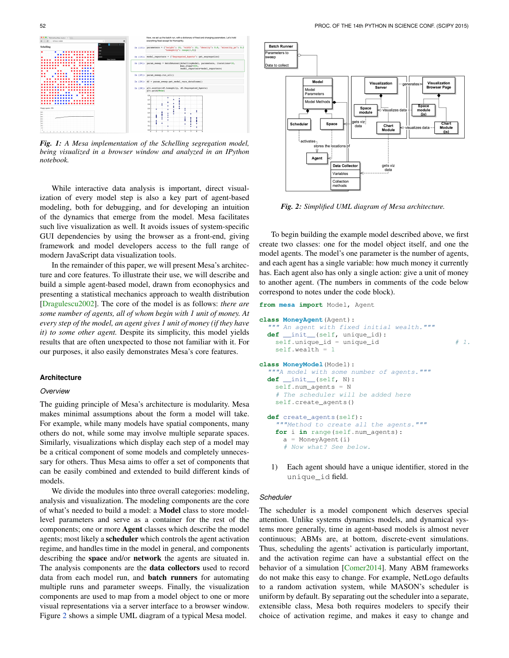

*Fig. 1: A Mesa implementation of the Schelling segregation model, being visualized in a browser window and analyzed in an IPython notebook.*

While interactive data analysis is important, direct visualization of every model step is also a key part of agent-based modeling, both for debugging, and for developing an intuition of the dynamics that emerge from the model. Mesa facilitates such live visualization as well. It avoids issues of system-specific GUI dependencies by using the browser as a front-end, giving framework and model developers access to the full range of modern JavaScript data visualization tools.

In the remainder of this paper, we will present Mesa's architecture and core features. To illustrate their use, we will describe and build a simple agent-based model, drawn from econophysics and presenting a statistical mechanics approach to wealth distribution [\[Dragulescu2002\]](#page-7-11). The core of the model is as follows: *there are some number of agents, all of whom begin with 1 unit of money. At every step of the model, an agent gives 1 unit of money (if they have it) to some other agent.* Despite its simplicity, this model yields results that are often unexpected to those not familiar with it. For our purposes, it also easily demonstrates Mesa's core features.

## **Architecture**

## *Overview*

The guiding principle of Mesa's architecture is modularity. Mesa makes minimal assumptions about the form a model will take. For example, while many models have spatial components, many others do not, while some may involve multiple separate spaces. Similarly, visualizations which display each step of a model may be a critical component of some models and completely unnecessary for others. Thus Mesa aims to offer a set of components that can be easily combined and extended to build different kinds of models.

We divide the modules into three overall categories: modeling, analysis and visualization. The modeling components are the core of what's needed to build a model: a Model class to store modellevel parameters and serve as a container for the rest of the components; one or more Agent classes which describe the model agents; most likely a scheduler which controls the agent activation regime, and handles time in the model in general, and components describing the space and/or network the agents are situated in. The analysis components are the data collectors used to record data from each model run, and batch runners for automating multiple runs and parameter sweeps. Finally, the visualization components are used to map from a model object to one or more visual representations via a server interface to a browser window. Figure [2](#page-1-0) shows a simple UML diagram of a typical Mesa model.

<span id="page-1-0"></span>

*Fig. 2: Simplified UML diagram of Mesa architecture.*

To begin building the example model described above, we first create two classes: one for the model object itself, and one the model agents. The model's one parameter is the number of agents, and each agent has a single variable: how much money it currently has. Each agent also has only a single action: give a unit of money to another agent. (The numbers in comments of the code below correspond to notes under the code block).

**from mesa import** Model, Agent

```
class MoneyAgent(Agent):
  """ An agent with fixed initial wealth."""
 def __init__(self, unique_id):
   self.unique_id = unique_id # 1.
   self.wealth = 1
class MoneyModel(Model):
  """A model with some number of agents."""
 def __init__(self, N):
   self.num_agents = N
    # The scheduler will be added here
   self.create_agents()
 def create_agents(self):
    """Method to create all the agents."""
   for i in range(self.num_agents):
     a = MonevAgent(i)# Now what? See below.
```
1) Each agent should have a unique identifier, stored in the unique\_id field.

## *Scheduler*

The scheduler is a model component which deserves special attention. Unlike systems dynamics models, and dynamical systems more generally, time in agent-based models is almost never continuous; ABMs are, at bottom, discrete-event simulations. Thus, scheduling the agents' activation is particularly important, and the activation regime can have a substantial effect on the behavior of a simulation [\[Comer2014\]](#page-7-12). Many ABM frameworks do not make this easy to change. For example, NetLogo defaults to a random activation system, while MASON's scheduler is uniform by default. By separating out the scheduler into a separate, extensible class, Mesa both requires modelers to specify their choice of activation regime, and makes it easy to change and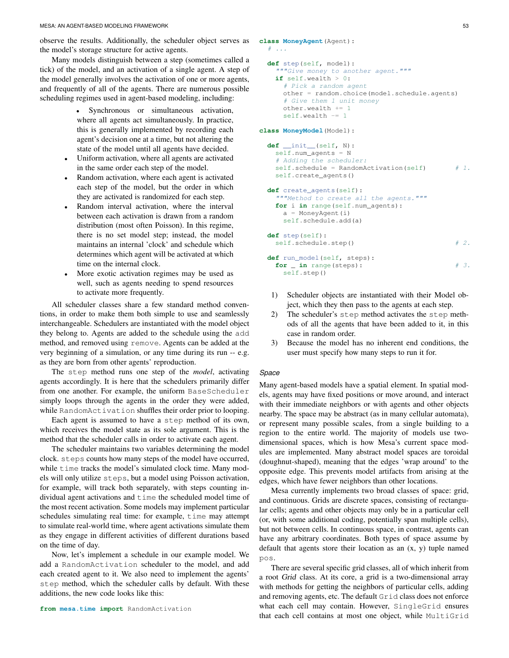observe the results. Additionally, the scheduler object serves as the model's storage structure for active agents.

Many models distinguish between a step (sometimes called a tick) of the model, and an activation of a single agent. A step of the model generally involves the activation of one or more agents, and frequently of all of the agents. There are numerous possible scheduling regimes used in agent-based modeling, including:

> • Synchronous or simultaneous activation, where all agents act simultaneously. In practice, this is generally implemented by recording each agent's decision one at a time, but not altering the state of the model until all agents have decided.

- Uniform activation, where all agents are activated in the same order each step of the model.
- Random activation, where each agent is activated each step of the model, but the order in which they are activated is randomized for each step.
- Random interval activation, where the interval between each activation is drawn from a random distribution (most often Poisson). In this regime, there is no set model step; instead, the model maintains an internal 'clock' and schedule which determines which agent will be activated at which time on the internal clock.
- More exotic activation regimes may be used as well, such as agents needing to spend resources to activate more frequently.

All scheduler classes share a few standard method conventions, in order to make them both simple to use and seamlessly interchangeable. Schedulers are instantiated with the model object they belong to. Agents are added to the schedule using the add method, and removed using remove. Agents can be added at the very beginning of a simulation, or any time during its run -- e.g. as they are born from other agents' reproduction.

The step method runs one step of the *model*, activating agents accordingly. It is here that the schedulers primarily differ from one another. For example, the uniform BaseScheduler simply loops through the agents in the order they were added, while RandomActivation shuffles their order prior to looping.

Each agent is assumed to have a step method of its own, which receives the model state as its sole argument. This is the method that the scheduler calls in order to activate each agent.

The scheduler maintains two variables determining the model clock. steps counts how many steps of the model have occurred, while time tracks the model's simulated clock time. Many models will only utilize steps, but a model using Poisson activation, for example, will track both separately, with steps counting individual agent activations and time the scheduled model time of the most recent activation. Some models may implement particular schedules simulating real time: for example, time may attempt to simulate real-world time, where agent activations simulate them as they engage in different activities of different durations based on the time of day.

Now, let's implement a schedule in our example model. We add a RandomActivation scheduler to the model, and add each created agent to it. We also need to implement the agents' step method, which the scheduler calls by default. With these additions, the new code looks like this:

```
class MoneyAgent(Agent):
  # ...
  def step(self, model):
    """Give money to another agent."""
    if self.wealth > 0:
      # Pick a random agent
      other = random.choice(model.schedule.agents)
      # Give them 1 unit money
```
**class MoneyModel**(Model):

other.wealth += 1 self.wealth -= 1

```
def __init__(self, N):
 self.num_agents = N
  # Adding the scheduler:
 self.schedule = RandomActivation(self) # 1.self.create_agents()
def create_agents(self):
  ""Method to create all the agents."""
 for i in range(self.num_agents):
   a = MoneyAgent(i)self.schedule.add(a)
def step(self):
 self.schedule.step() # 2.def run_model(self, steps):
 for _ in range(steps): # 3.
   self.step()
```
- 1) Scheduler objects are instantiated with their Model object, which they then pass to the agents at each step.
- 2) The scheduler's step method activates the step methods of all the agents that have been added to it, in this case in random order.
- 3) Because the model has no inherent end conditions, the user must specify how many steps to run it for.

## *Space*

Many agent-based models have a spatial element. In spatial models, agents may have fixed positions or move around, and interact with their immediate neighbors or with agents and other objects nearby. The space may be abstract (as in many cellular automata), or represent many possible scales, from a single building to a region to the entire world. The majority of models use twodimensional spaces, which is how Mesa's current space modules are implemented. Many abstract model spaces are toroidal (doughnut-shaped), meaning that the edges 'wrap around' to the opposite edge. This prevents model artifacts from arising at the edges, which have fewer neighbors than other locations.

Mesa currently implements two broad classes of space: grid, and continuous. Grids are discrete spaces, consisting of rectangular cells; agents and other objects may only be in a particular cell (or, with some additional coding, potentially span multiple cells), but not between cells. In continuous space, in contrast, agents can have any arbitrary coordinates. Both types of space assume by default that agents store their location as an (x, y) tuple named pos.

There are several specific grid classes, all of which inherit from a root Grid class. At its core, a grid is a two-dimensional array with methods for getting the neighbors of particular cells, adding and removing agents, etc. The default Grid class does not enforce what each cell may contain. However, SingleGrid ensures that each cell contains at most one object, while MultiGrid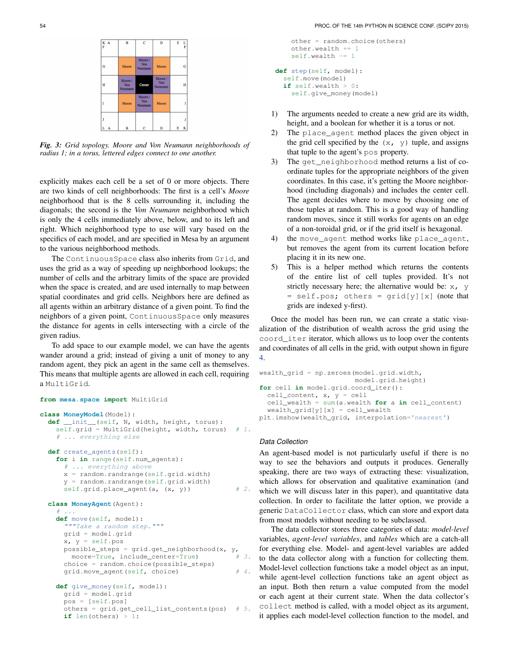| K A<br>F | B                        | $\overline{c}$           | D                               | E | ı |
|----------|--------------------------|--------------------------|---------------------------------|---|---|
| Ġ        | Moore                    | Moore/<br>Von<br>Neumann | Moore                           |   | Ó |
| н        | Moore/<br>Von<br>Neumann | Center                   | Moore/<br><b>Von</b><br>Neumann |   | I |
|          | Moore                    | Moore/<br>Von<br>Neumann | Moore                           |   |   |
| T        |                          |                          |                                 |   |   |
| L A      | в                        | Ċ                        | D                               | E | I |

*Fig. 3: Grid topology. Moore and Von Neumann neighborhoods of radius 1; in a torus, lettered edges connect to one another.*

explicitly makes each cell be a set of 0 or more objects. There are two kinds of cell neighborhoods: The first is a cell's *Moore* neighborhood that is the 8 cells surrounding it, including the diagonals; the second is the *Von Neumann* neighborhood which is only the 4 cells immediately above, below, and to its left and right. Which neighborhood type to use will vary based on the specifics of each model, and are specified in Mesa by an argument to the various neighborhood methods.

The ContinuousSpace class also inherits from Grid, and uses the grid as a way of speeding up neighborhood lookups; the number of cells and the arbitrary limits of the space are provided when the space is created, and are used internally to map between spatial coordinates and grid cells. Neighbors here are defined as all agents within an arbitrary distance of a given point. To find the neighbors of a given point, ContinuousSpace only measures the distance for agents in cells intersecting with a circle of the given radius.

To add space to our example model, we can have the agents wander around a grid; instead of giving a unit of money to any random agent, they pick an agent in the same cell as themselves. This means that multiple agents are allowed in each cell, requiring a MultiGrid.

```
from mesa.space import MultiGrid
class MoneyModel(Model):
 def __init__(self, N, width, height, torus):
   self.grid = MultiGrid(height, width, torus) # 1.# ... everything else
 def create_agents(self):
   for i in range(self.num_agents):
     # ... everything above
     x = random.randrange(self.grid.width)
     y = random.randrange(self.grid.width)
     self.grid.place_agent(a, (x, y)) # 2.class MoneyAgent(Agent):
   # \ldotsdef move(self, model):
     """Take a random step."""
     grid = model.grid
     x, y = self.pospossible_steps = grid.get_neighborhood(x, y,
       moore=True, include_center=True) # 3.choice = random.choice(possible_steps)
     grid.move_agent(self, choice) # 4.
   def give_money(self, model):
     grid = model.grid
     pos = [self.pos]
     others = grid.get_cell_list_contents(pos) # 5.
     if len(others) > 1:
```

```
other = random.choice(others)
    other.wealth += 1
    self.wealth -= 1
def step(self, model):
  self.move(model)
```

```
if self.wealth > 0:
 self.give_money(model)
```
- 1) The arguments needed to create a new grid are its width, height, and a boolean for whether it is a torus or not.
- 2) The place\_agent method places the given object in the grid cell specified by the  $(x, y)$  tuple, and assigns that tuple to the agent's pos property.
- 3) The get\_neighborhood method returns a list of coordinate tuples for the appropriate neighbors of the given coordinates. In this case, it's getting the Moore neighborhood (including diagonals) and includes the center cell. The agent decides where to move by choosing one of those tuples at random. This is a good way of handling random moves, since it still works for agents on an edge of a non-toroidal grid, or if the grid itself is hexagonal.
- 4) the move\_agent method works like place\_agent, but removes the agent from its current location before placing it in its new one.
- 5) This is a helper method which returns the contents of the entire list of cell tuples provided. It's not strictly necessary here; the alternative would be:  $x$ ,  $y$  $=$  self.pos; others =  $grid[y][x]$  (note that grids are indexed y-first).

Once the model has been run, we can create a static visualization of the distribution of wealth across the grid using the coord\_iter iterator, which allows us to loop over the contents and coordinates of all cells in the grid, with output shown in figure [4.](#page-4-0)

```
wealth grid = np{\text{ }zeroes(model,grid,width,}}model.grid.height)
for cell in model.grid.coord_iter():
  cell content, x, y = \text{cell}cell_wealth = sum(a.wealth for a in cell_content)
  wealth\_grid[y][x] = cell\_wealthplt.imshow(wealth_grid, interpolation='nearest')
```
# *Data Collection*

An agent-based model is not particularly useful if there is no way to see the behaviors and outputs it produces. Generally speaking, there are two ways of extracting these: visualization, which allows for observation and qualitative examination (and which we will discuss later in this paper), and quantitative data collection. In order to facilitate the latter option, we provide a generic DataCollector class, which can store and export data from most models without needing to be subclassed.

The data collector stores three categories of data: *model-level* variables, *agent-level variables*, and *tables* which are a catch-all for everything else. Model- and agent-level variables are added to the data collector along with a function for collecting them. Model-level collection functions take a model object as an input, while agent-level collection functions take an agent object as an input. Both then return a value computed from the model or each agent at their current state. When the data collector's collect method is called, with a model object as its argument, it applies each model-level collection function to the model, and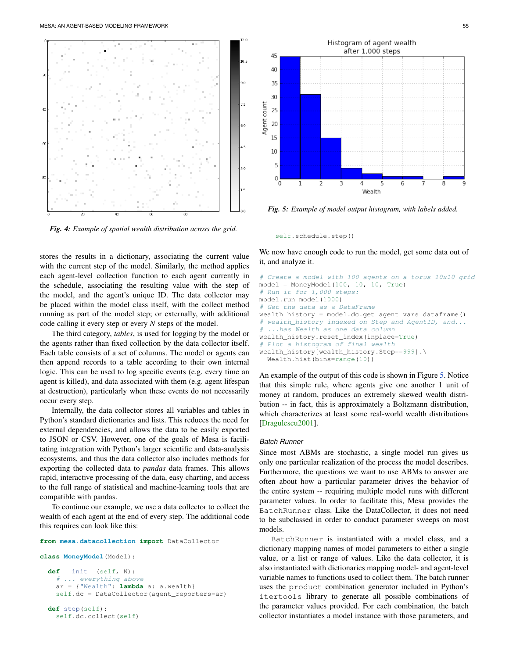<span id="page-4-0"></span>

*Fig. 4: Example of spatial wealth distribution across the grid.*

stores the results in a dictionary, associating the current value with the current step of the model. Similarly, the method applies each agent-level collection function to each agent currently in the schedule, associating the resulting value with the step of the model, and the agent's unique ID. The data collector may be placed within the model class itself, with the collect method running as part of the model step; or externally, with additional code calling it every step or every *N* steps of the model.

The third category, *tables*, is used for logging by the model or the agents rather than fixed collection by the data collector itself. Each table consists of a set of columns. The model or agents can then append records to a table according to their own internal logic. This can be used to log specific events (e.g. every time an agent is killed), and data associated with them (e.g. agent lifespan at destruction), particularly when these events do not necessarily occur every step.

Internally, the data collector stores all variables and tables in Python's standard dictionaries and lists. This reduces the need for external dependencies, and allows the data to be easily exported to JSON or CSV. However, one of the goals of Mesa is facilitating integration with Python's larger scientific and data-analysis ecosystems, and thus the data collector also includes methods for exporting the collected data to *pandas* data frames. This allows rapid, interactive processing of the data, easy charting, and access to the full range of statistical and machine-learning tools that are compatible with pandas.

To continue our example, we use a data collector to collect the wealth of each agent at the end of every step. The additional code this requires can look like this:

#### **from mesa.datacollection import** DataCollector

**class MoneyModel**(Model):

self.dc.collect(self)

```
def __init__(self, N):
   ... everything above
  ar = {"Wealth": lambda a: a.wealth}
  self.dc = DataCollector(agent_reporters=ar)
def step(self):
```
<span id="page-4-1"></span>

*Fig. 5: Example of model output histogram, with labels added.*

self.schedule.step()

We now have enough code to run the model, get some data out of it, and analyze it.

```
# Create a model with 100 agents on a torus 10x10 grid
model = MoneyModel(100, 10, 10, True)# Run it for 1,000 steps:
model.run_model(1000)
# Get the data as a DataFrame
wealth_history = model.dc.get_agent_vars_dataframe()
 wealth_history indexed on Step and AgentID, and...
# ...has Wealth as one data column
wealth_history.reset_index(inplace=True)
# Plot a histogram of final wealth
wealth_history[wealth_history.Step==999].\
  Wealth.hist(bins=range(10))
```
An example of the output of this code is shown in Figure [5.](#page-4-1) Notice that this simple rule, where agents give one another 1 unit of money at random, produces an extremely skewed wealth distribution -- in fact, this is approximately a Boltzmann distribution, which characterizes at least some real-world wealth distributions [\[Dragulescu2001\]](#page-7-13).

#### *Batch Runner*

Since most ABMs are stochastic, a single model run gives us only one particular realization of the process the model describes. Furthermore, the questions we want to use ABMs to answer are often about how a particular parameter drives the behavior of the entire system -- requiring multiple model runs with different parameter values. In order to facilitate this, Mesa provides the BatchRunner class. Like the DataCollector, it does not need to be subclassed in order to conduct parameter sweeps on most models.

BatchRunner is instantiated with a model class, and a dictionary mapping names of model parameters to either a single value, or a list or range of values. Like the data collector, it is also instantiated with dictionaries mapping model- and agent-level variable names to functions used to collect them. The batch runner uses the product combination generator included in Python's itertools library to generate all possible combinations of the parameter values provided. For each combination, the batch collector instantiates a model instance with those parameters, and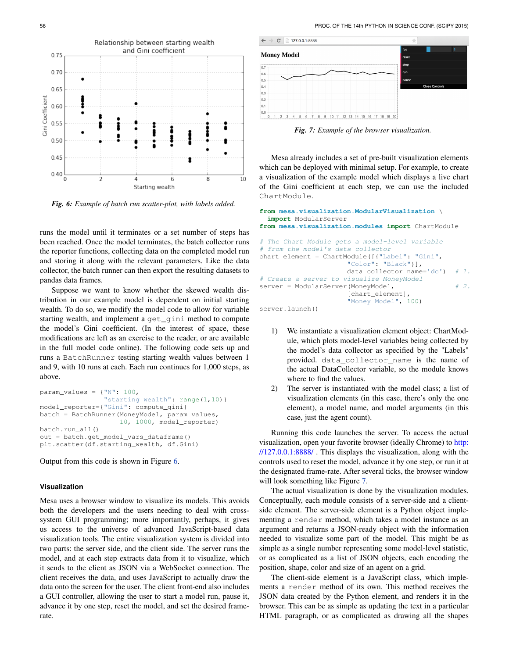<span id="page-5-0"></span>

*Fig. 6: Example of batch run scatter-plot, with labels added.*

runs the model until it terminates or a set number of steps has been reached. Once the model terminates, the batch collector runs the reporter functions, collecting data on the completed model run and storing it along with the relevant parameters. Like the data collector, the batch runner can then export the resulting datasets to pandas data frames.

Suppose we want to know whether the skewed wealth distribution in our example model is dependent on initial starting wealth. To do so, we modify the model code to allow for variable starting wealth, and implement a get\_gini method to compute the model's Gini coefficient. (In the interest of space, these modifications are left as an exercise to the reader, or are available in the full model code online). The following code sets up and runs a BatchRunner testing starting wealth values between 1 and 9, with 10 runs at each. Each run continues for 1,000 steps, as above.

```
param_values = {"N": 100,
                "starting_wealth": range(1,10)}
model_reporter={"Gini": compute_gini}
batch = BatchRunner(MoneyModel, param_values,
                    10, 1000, model_reporter)
batch.run_all()
out = batch.get_model_vars_dataframe()
plt.scatter(df.starting_wealth, df.Gini)
```
#### Output from this code is shown in Figure [6.](#page-5-0)

## **Visualization**

Mesa uses a browser window to visualize its models. This avoids both the developers and the users needing to deal with crosssystem GUI programming; more importantly, perhaps, it gives us access to the universe of advanced JavaScript-based data visualization tools. The entire visualization system is divided into two parts: the server side, and the client side. The server runs the model, and at each step extracts data from it to visualize, which it sends to the client as JSON via a WebSocket connection. The client receives the data, and uses JavaScript to actually draw the data onto the screen for the user. The client front-end also includes a GUI controller, allowing the user to start a model run, pause it, advance it by one step, reset the model, and set the desired framerate.

<span id="page-5-1"></span>

*Fig. 7: Example of the browser visualization.*

Mesa already includes a set of pre-built visualization elements which can be deployed with minimal setup. For example, to create a visualization of the example model which displays a live chart of the Gini coefficient at each step, we can use the included ChartModule.

```
from mesa.visualization.ModularVisualization \
 import ModularServer
from mesa.visualization.modules import ChartModule
# The Chart Module gets a model-level variable
# from the model's data collector
chart_element = ChartModule([{"Label": "Gini",
                      "Color": "Black"}],
                     data\_collector_name='dc') # 1.
# Create a server to visualize MoneyModel
server = ModularServer(MoneyModel, \# 2.
                      [chart_element],
                      "Money Model", 100)
```

```
server.launch()
```
- 1) We instantiate a visualization element object: ChartModule, which plots model-level variables being collected by the model's data collector as specified by the "Labels" provided. data\_collector\_name is the name of the actual DataCollector variable, so the module knows where to find the values.
- 2) The server is instantiated with the model class; a list of visualization elements (in this case, there's only the one element), a model name, and model arguments (in this case, just the agent count).

Running this code launches the server. To access the actual visualization, open your favorite browser (ideally Chrome) to [http:](http://127.0.0.1:8888/) [//127.0.0.1:8888/](http://127.0.0.1:8888/) . This displays the visualization, along with the controls used to reset the model, advance it by one step, or run it at the designated frame-rate. After several ticks, the browser window will look something like Figure [7.](#page-5-1)

The actual visualization is done by the visualization modules. Conceptually, each module consists of a server-side and a clientside element. The server-side element is a Python object implementing a render method, which takes a model instance as an argument and returns a JSON-ready object with the information needed to visualize some part of the model. This might be as simple as a single number representing some model-level statistic, or as complicated as a list of JSON objects, each encoding the position, shape, color and size of an agent on a grid.

The client-side element is a JavaScript class, which implements a render method of its own. This method receives the JSON data created by the Python element, and renders it in the browser. This can be as simple as updating the text in a particular HTML paragraph, or as complicated as drawing all the shapes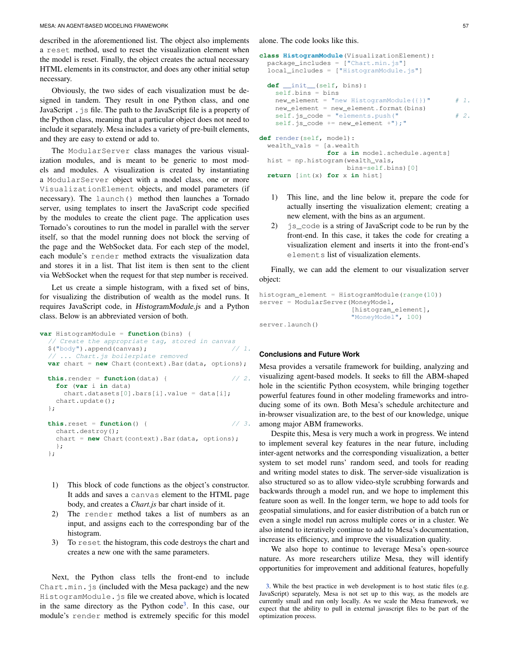described in the aforementioned list. The object also implements a reset method, used to reset the visualization element when the model is reset. Finally, the object creates the actual necessary HTML elements in its constructor, and does any other initial setup necessary.

Obviously, the two sides of each visualization must be designed in tandem. They result in one Python class, and one JavaScript .js file. The path to the JavaScript file is a property of the Python class, meaning that a particular object does not need to include it separately. Mesa includes a variety of pre-built elements, and they are easy to extend or add to.

The ModularServer class manages the various visualization modules, and is meant to be generic to most models and modules. A visualization is created by instantiating a ModularServer object with a model class, one or more VisualizationElement objects, and model parameters (if necessary). The launch() method then launches a Tornado server, using templates to insert the JavaScript code specified by the modules to create the client page. The application uses Tornado's coroutines to run the model in parallel with the server itself, so that the model running does not block the serving of the page and the WebSocket data. For each step of the model, each module's render method extracts the visualization data and stores it in a list. That list item is then sent to the client via WebSocket when the request for that step number is received.

Let us create a simple histogram, with a fixed set of bins, for visualizing the distribution of wealth as the model runs. It requires JavaScript code, in HistogramModule.js and a Python class. Below is an abbreviated version of both.

```
var HistogramModule = function(bins) {
  // Create the appropriate tag, stored in canvas
 $("body").append(canvas); // 1.// ... Chart.js boilerplate removed
 var chart = new Chart(context).Bar(data, options);
 this.render = function (data) { // 2.for (var i in data)
     chart.datasets[0].bars[i].value = data[i];
   chart.update();
 };
 this.reset = function() { // 3.chart.destroy();
   chart = new Chart(context).Bar(data, options);
   };
 };
```
- 1) This block of code functions as the object's constructor. It adds and saves a canvas element to the HTML page body, and creates a *Chart.js* bar chart inside of it.
- 2) The render method takes a list of numbers as an input, and assigns each to the corresponding bar of the histogram.
- 3) To reset the histogram, this code destroys the chart and creates a new one with the same parameters.

Next, the Python class tells the front-end to include Chart.min.  $\frac{1}{5}$  (included with the Mesa package) and the new HistogramModule.js file we created above, which is located in the same directory as the Python code<sup>[3](#page-6-0)</sup>. In this case, our module's render method is extremely specific for this model

alone. The code looks like this.

```
class HistogramModule(VisualizationElement):
 package_includes = ["Chart.min.js"]
 local_includes = ["HistogramModule.js"]
 def __init__(self, bins):
   self.bins = bins
   new\_element = "new HistogramModule({}) " # 1.new_element = new_element.format(bins)
   self.js\_code = "elements.push(" # 2.self.js_code += new_element +");"
def render(self, model):
 wealth_vals = [a.wealth
                for a in model.schedule.agents]
 hist = np.histogram(wealth_vals,
                     bins=self.bins)[0]
  return [int(x) for x in hist]
```
- 1) This line, and the line below it, prepare the code for actually inserting the visualization element; creating a new element, with the bins as an argument.
- 2) js\_code is a string of JavaScript code to be run by the front-end. In this case, it takes the code for creating a visualization element and inserts it into the front-end's elements list of visualization elements.

Finally, we can add the element to our visualization server object:

```
histogram_element = HistogramModule(range(10))
server = ModularServer(MoneyModel,
                       [histogram_element],
                       "MoneyModel", 100)
server.launch()
```
# **Conclusions and Future Work**

Mesa provides a versatile framework for building, analyzing and visualizing agent-based models. It seeks to fill the ABM-shaped hole in the scientific Python ecosystem, while bringing together powerful features found in other modeling frameworks and introducing some of its own. Both Mesa's schedule architecture and in-browser visualization are, to the best of our knowledge, unique among major ABM frameworks.

Despite this, Mesa is very much a work in progress. We intend to implement several key features in the near future, including inter-agent networks and the corresponding visualization, a better system to set model runs' random seed, and tools for reading and writing model states to disk. The server-side visualization is also structured so as to allow video-style scrubbing forwards and backwards through a model run, and we hope to implement this feature soon as well. In the longer term, we hope to add tools for geospatial simulations, and for easier distribution of a batch run or even a single model run across multiple cores or in a cluster. We also intend to iteratively continue to add to Mesa's documentation, increase its efficiency, and improve the visualization quality.

We also hope to continue to leverage Mesa's open-source nature. As more researchers utilize Mesa, they will identify opportunities for improvement and additional features, hopefully

<span id="page-6-1"></span><span id="page-6-0"></span>[<sup>3.</sup>](#page-6-1) While the best practice in web development is to host static files (e.g. JavaScript) separately, Mesa is not set up to this way, as the models are currently small and run only locally. As we scale the Mesa framework, we expect that the ability to pull in external javascript files to be part of the optimization process.